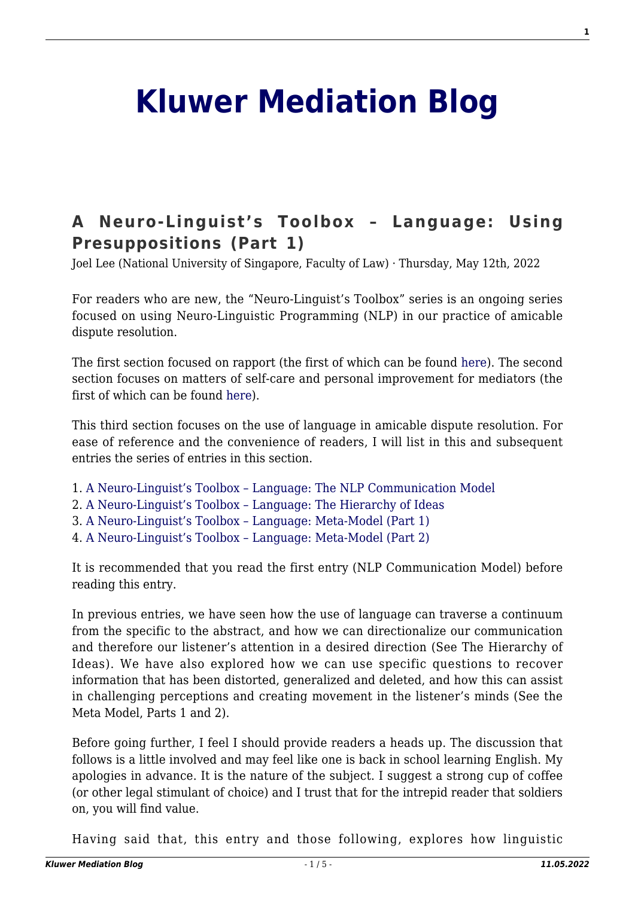## **[Kluwer Mediation Blog](http://mediationblog.kluwerarbitration.com/)**

## **[A Neuro-Linguist's Toolbox – Language: Using](http://mediationblog.kluwerarbitration.com/2022/05/12/a-neuro-linguists-toolbox-language-using-presuppositions-part-1/) [Presuppositions \(Part 1\)](http://mediationblog.kluwerarbitration.com/2022/05/12/a-neuro-linguists-toolbox-language-using-presuppositions-part-1/)**

Joel Lee (National University of Singapore, Faculty of Law) · Thursday, May 12th, 2022

For readers who are new, the "Neuro-Linguist's Toolbox" series is an ongoing series focused on using Neuro-Linguistic Programming (NLP) in our practice of amicable dispute resolution.

The first section focused on rapport (the first of which can be found [here\)](http://mediationblog.kluwerarbitration.com/2018/01/12/neuro-linguists-toolbox-starting-point-building-rapport/). The second section focuses on matters of self-care and personal improvement for mediators (the first of which can be found [here](http://mediationblog.kluwerarbitration.com/2019/09/12/a-neuro-linguists-toolbox-self-care-and-improvement-preliminary-thoughts/)).

This third section focuses on the use of language in amicable dispute resolution. For ease of reference and the convenience of readers, I will list in this and subsequent entries the series of entries in this section.

- 1. [A Neuro-Linguist's Toolbox Language: The NLP Communication Model](http://mediationblog.kluwerarbitration.com/2021/01/12/a-neuro-linguists-toolbox-language-the-nlp-communication-model/)
- 2. [A Neuro-Linguist's Toolbox Language: The Hierarchy of Ideas](http://mediationblog.kluwerarbitration.com/2021/03/12/a-neuro-linguists-toolbox-language-the-hierarchy-of-ideas/)
- 3. [A Neuro-Linguist's Toolbox Language: Meta-Model \(Part 1\)](http://mediationblog.kluwerarbitration.com/2021/05/12/a-neuro-linguists-toolbox-language-the-meta-model-part-1/)
- 4. [A Neuro-Linguist's Toolbox Language: Meta-Model \(Part 2\)](http://mediationblog.kluwerarbitration.com/2021/11/12/a-neuro-linguists-toolbox-language-the-meta-model-part-2/)

It is recommended that you read the first entry (NLP Communication Model) before reading this entry.

In previous entries, we have seen how the use of language can traverse a continuum from the specific to the abstract, and how we can directionalize our communication and therefore our listener's attention in a desired direction (See The Hierarchy of Ideas). We have also explored how we can use specific questions to recover information that has been distorted, generalized and deleted, and how this can assist in challenging perceptions and creating movement in the listener's minds (See the Meta Model, Parts 1 and 2).

Before going further, I feel I should provide readers a heads up. The discussion that follows is a little involved and may feel like one is back in school learning English. My apologies in advance. It is the nature of the subject. I suggest a strong cup of coffee (or other legal stimulant of choice) and I trust that for the intrepid reader that soldiers on, you will find value.

Having said that, this entry and those following, explores how linguistic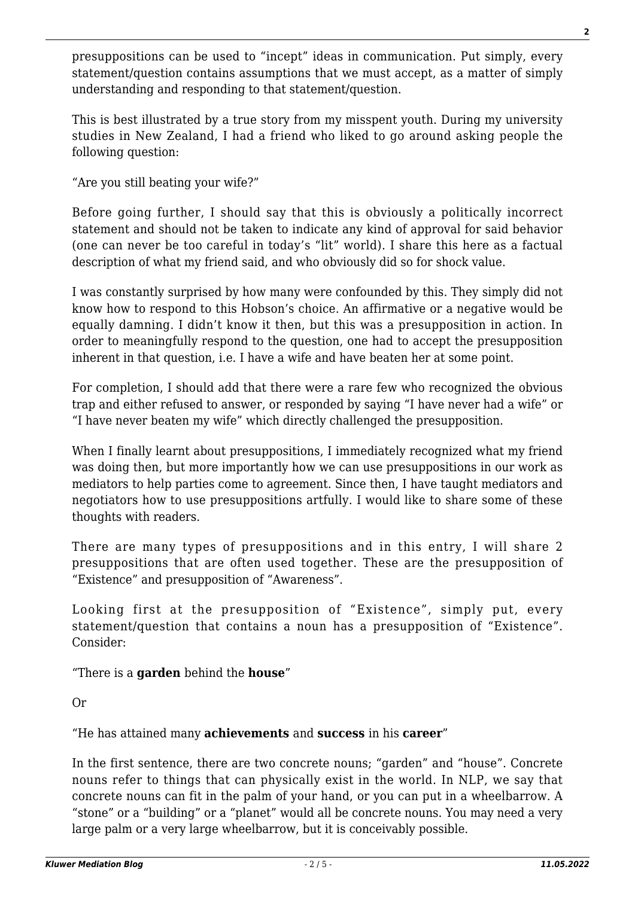presuppositions can be used to "incept" ideas in communication. Put simply, every statement/question contains assumptions that we must accept, as a matter of simply understanding and responding to that statement/question.

This is best illustrated by a true story from my misspent youth. During my university studies in New Zealand, I had a friend who liked to go around asking people the following question:

"Are you still beating your wife?"

Before going further, I should say that this is obviously a politically incorrect statement and should not be taken to indicate any kind of approval for said behavior (one can never be too careful in today's "lit" world). I share this here as a factual description of what my friend said, and who obviously did so for shock value.

I was constantly surprised by how many were confounded by this. They simply did not know how to respond to this Hobson's choice. An affirmative or a negative would be equally damning. I didn't know it then, but this was a presupposition in action. In order to meaningfully respond to the question, one had to accept the presupposition inherent in that question, i.e. I have a wife and have beaten her at some point.

For completion, I should add that there were a rare few who recognized the obvious trap and either refused to answer, or responded by saying "I have never had a wife" or "I have never beaten my wife" which directly challenged the presupposition.

When I finally learnt about presuppositions, I immediately recognized what my friend was doing then, but more importantly how we can use presuppositions in our work as mediators to help parties come to agreement. Since then, I have taught mediators and negotiators how to use presuppositions artfully. I would like to share some of these thoughts with readers.

There are many types of presuppositions and in this entry, I will share 2 presuppositions that are often used together. These are the presupposition of "Existence" and presupposition of "Awareness".

Looking first at the presupposition of "Existence", simply put, every statement/question that contains a noun has a presupposition of "Existence". Consider:

"There is a **garden** behind the **house**"

Or

"He has attained many **achievements** and **success** in his **career**"

In the first sentence, there are two concrete nouns; "garden" and "house". Concrete nouns refer to things that can physically exist in the world. In NLP, we say that concrete nouns can fit in the palm of your hand, or you can put in a wheelbarrow. A "stone" or a "building" or a "planet" would all be concrete nouns. You may need a very large palm or a very large wheelbarrow, but it is conceivably possible.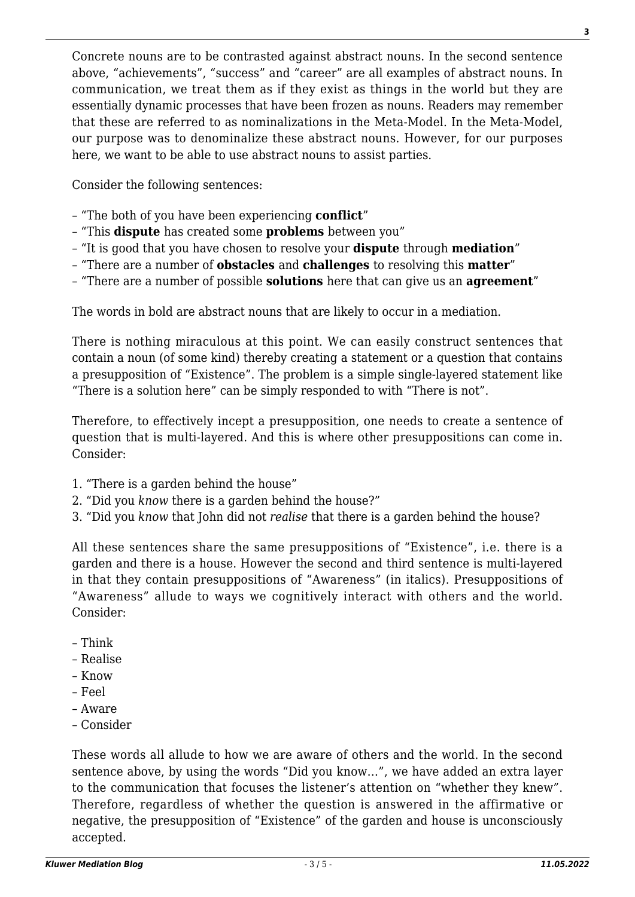Concrete nouns are to be contrasted against abstract nouns. In the second sentence above, "achievements", "success" and "career" are all examples of abstract nouns. In communication, we treat them as if they exist as things in the world but they are essentially dynamic processes that have been frozen as nouns. Readers may remember that these are referred to as nominalizations in the Meta-Model. In the Meta-Model, our purpose was to denominalize these abstract nouns. However, for our purposes here, we want to be able to use abstract nouns to assist parties.

Consider the following sentences:

- "The both of you have been experiencing **conflict**"
- "This **dispute** has created some **problems** between you"
- "It is good that you have chosen to resolve your **dispute** through **mediation**"
- "There are a number of **obstacles** and **challenges** to resolving this **matter**"
- "There are a number of possible **solutions** here that can give us an **agreement**"

The words in bold are abstract nouns that are likely to occur in a mediation.

There is nothing miraculous at this point. We can easily construct sentences that contain a noun (of some kind) thereby creating a statement or a question that contains a presupposition of "Existence". The problem is a simple single-layered statement like "There is a solution here" can be simply responded to with "There is not".

Therefore, to effectively incept a presupposition, one needs to create a sentence of question that is multi-layered. And this is where other presuppositions can come in. Consider:

- 1. "There is a garden behind the house"
- 2. "Did you *know* there is a garden behind the house?"
- 3. "Did you *know* that John did not *realise* that there is a garden behind the house?

All these sentences share the same presuppositions of "Existence", i.e. there is a garden and there is a house. However the second and third sentence is multi-layered in that they contain presuppositions of "Awareness" (in italics). Presuppositions of "Awareness" allude to ways we cognitively interact with others and the world. Consider:

- Think
- Realise
- Know
- Feel
- Aware
- Consider

These words all allude to how we are aware of others and the world. In the second sentence above, by using the words "Did you know…", we have added an extra layer to the communication that focuses the listener's attention on "whether they knew". Therefore, regardless of whether the question is answered in the affirmative or negative, the presupposition of "Existence" of the garden and house is unconsciously accepted.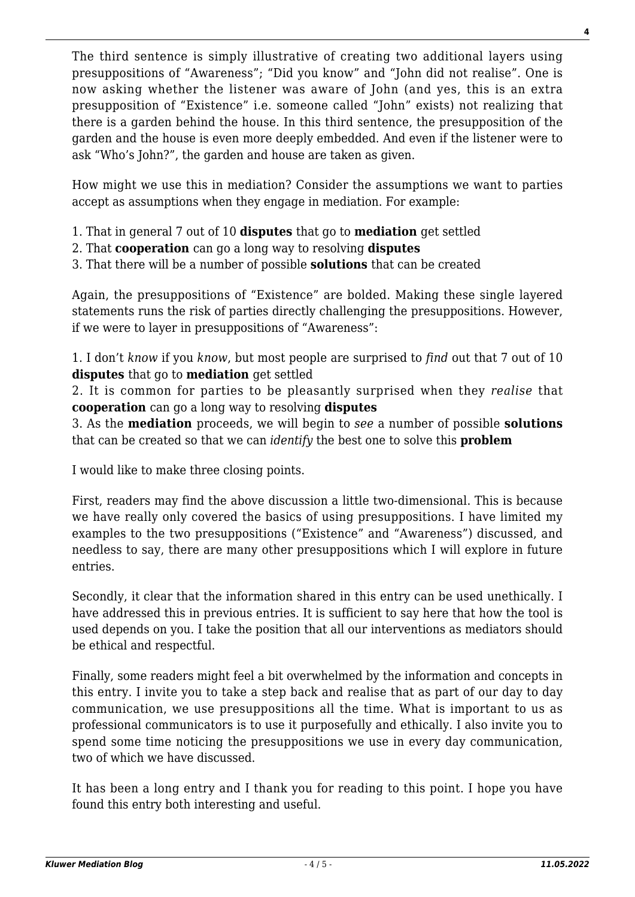The third sentence is simply illustrative of creating two additional layers using presuppositions of "Awareness"; "Did you know" and "John did not realise". One is now asking whether the listener was aware of John (and yes, this is an extra presupposition of "Existence" i.e. someone called "John" exists) not realizing that there is a garden behind the house. In this third sentence, the presupposition of the garden and the house is even more deeply embedded. And even if the listener were to ask "Who's John?", the garden and house are taken as given.

How might we use this in mediation? Consider the assumptions we want to parties accept as assumptions when they engage in mediation. For example:

- 1. That in general 7 out of 10 **disputes** that go to **mediation** get settled
- 2. That **cooperation** can go a long way to resolving **disputes**
- 3. That there will be a number of possible **solutions** that can be created

Again, the presuppositions of "Existence" are bolded. Making these single layered statements runs the risk of parties directly challenging the presuppositions. However, if we were to layer in presuppositions of "Awareness":

1. I don't *know* if you *know*, but most people are surprised to *find* out that 7 out of 10 **disputes** that go to **mediation** get settled

2. It is common for parties to be pleasantly surprised when they *realise* that **cooperation** can go a long way to resolving **disputes**

3. As the **mediation** proceeds, we will begin to *see* a number of possible **solutions** that can be created so that we can *identify* the best one to solve this **problem**

I would like to make three closing points.

First, readers may find the above discussion a little two-dimensional. This is because we have really only covered the basics of using presuppositions. I have limited my examples to the two presuppositions ("Existence" and "Awareness") discussed, and needless to say, there are many other presuppositions which I will explore in future entries.

Secondly, it clear that the information shared in this entry can be used unethically. I have addressed this in previous entries. It is sufficient to say here that how the tool is used depends on you. I take the position that all our interventions as mediators should be ethical and respectful.

Finally, some readers might feel a bit overwhelmed by the information and concepts in this entry. I invite you to take a step back and realise that as part of our day to day communication, we use presuppositions all the time. What is important to us as professional communicators is to use it purposefully and ethically. I also invite you to spend some time noticing the presuppositions we use in every day communication, two of which we have discussed.

It has been a long entry and I thank you for reading to this point. I hope you have found this entry both interesting and useful.